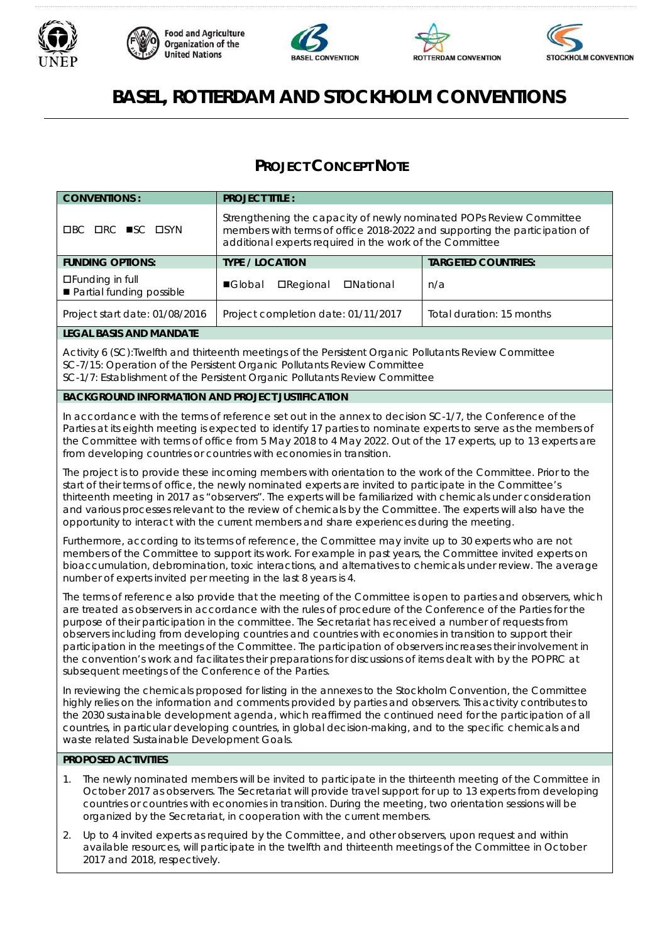









# **BASEL, ROTTERDAM AND STOCKHOLM CONVENTIONS**

# **PROJECT CONCEPT NOTE**

| <b>CONVENTIONS:</b>                                                                                                                                                                                                                                                                                                                                                                                                                                                                                                                                                                                                                                                                                                                            | <b>PROJECT TITLE:</b>                                                                                                                                                                                         |                            |  |
|------------------------------------------------------------------------------------------------------------------------------------------------------------------------------------------------------------------------------------------------------------------------------------------------------------------------------------------------------------------------------------------------------------------------------------------------------------------------------------------------------------------------------------------------------------------------------------------------------------------------------------------------------------------------------------------------------------------------------------------------|---------------------------------------------------------------------------------------------------------------------------------------------------------------------------------------------------------------|----------------------------|--|
| <b>OBC ORC ■SC OSYN</b>                                                                                                                                                                                                                                                                                                                                                                                                                                                                                                                                                                                                                                                                                                                        | Strengthening the capacity of newly nominated POPs Review Committee<br>members with terms of office 2018-2022 and supporting the participation of<br>additional experts required in the work of the Committee |                            |  |
| <b>FUNDING OPTIONS:</b>                                                                                                                                                                                                                                                                                                                                                                                                                                                                                                                                                                                                                                                                                                                        | <b>TYPE / LOCATION</b>                                                                                                                                                                                        | <b>TARGETED COUNTRIES:</b> |  |
| □Funding in full<br>Partial funding possible                                                                                                                                                                                                                                                                                                                                                                                                                                                                                                                                                                                                                                                                                                   | <b>Global</b><br><b>DNational</b><br><b>O</b> Regional                                                                                                                                                        | n/a                        |  |
| Project start date: 01/08/2016                                                                                                                                                                                                                                                                                                                                                                                                                                                                                                                                                                                                                                                                                                                 | Project completion date: 01/11/2017                                                                                                                                                                           | Total duration: 15 months  |  |
| <b>LEGAL BASIS AND MANDATE</b>                                                                                                                                                                                                                                                                                                                                                                                                                                                                                                                                                                                                                                                                                                                 |                                                                                                                                                                                                               |                            |  |
| Activity 6 (SC):Twelfth and thirteenth meetings of the Persistent Organic Pollutants Review Committee<br>SC-7/15: Operation of the Persistent Organic Pollutants Review Committee<br>SC-1/7: Establishment of the Persistent Organic Pollutants Review Committee                                                                                                                                                                                                                                                                                                                                                                                                                                                                               |                                                                                                                                                                                                               |                            |  |
| <b>BACKGROUND INFORMATION AND PROJECT JUSTIFICATION</b>                                                                                                                                                                                                                                                                                                                                                                                                                                                                                                                                                                                                                                                                                        |                                                                                                                                                                                                               |                            |  |
| In accordance with the terms of reference set out in the annex to decision SC-1/7, the Conference of the<br>Parties at its eighth meeting is expected to identify 17 parties to nominate experts to serve as the members of<br>the Committee with terms of office from 5 May 2018 to 4 May 2022. Out of the 17 experts, up to 13 experts are<br>from developing countries or countries with economies in transition.                                                                                                                                                                                                                                                                                                                           |                                                                                                                                                                                                               |                            |  |
| The project is to provide these incoming members with orientation to the work of the Committee. Prior to the<br>start of their terms of office, the newly nominated experts are invited to participate in the Committee's<br>thirteenth meeting in 2017 as "observers". The experts will be familiarized with chemicals under consideration<br>and various processes relevant to the review of chemicals by the Committee. The experts will also have the<br>opportunity to interact with the current members and share experiences during the meeting.                                                                                                                                                                                        |                                                                                                                                                                                                               |                            |  |
| Furthermore, according to its terms of reference, the Committee may invite up to 30 experts who are not<br>members of the Committee to support its work. For example in past years, the Committee invited experts on<br>bioaccumulation, debromination, toxic interactions, and alternatives to chemicals under review. The average<br>number of experts invited per meeting in the last 8 years is 4.                                                                                                                                                                                                                                                                                                                                         |                                                                                                                                                                                                               |                            |  |
| The terms of reference also provide that the meeting of the Committee is open to parties and observers, which<br>are treated as observers in accordance with the rules of procedure of the Conference of the Parties for the<br>purpose of their participation in the committee. The Secretariat has received a number of requests from<br>observers including from developing countries and countries with economies in transition to support their<br>participation in the meetings of the Committee. The participation of observers increases their involvement in<br>the convention's work and facilitates their preparations for discussions of items dealt with by the POPRC at<br>subsequent meetings of the Conference of the Parties. |                                                                                                                                                                                                               |                            |  |
| In reviewing the chemicals proposed for listing in the annexes to the Stockholm Convention, the Committee<br>highly relies on the information and comments provided by parties and observers. This activity contributes to<br>the 2030 sustainable development agenda, which reaffirmed the continued need for the participation of all<br>countries, in particular developing countries, in global decision-making, and to the specific chemicals and<br>waste related Sustainable Development Goals.                                                                                                                                                                                                                                         |                                                                                                                                                                                                               |                            |  |
| PROPOSED ACTIVITIES                                                                                                                                                                                                                                                                                                                                                                                                                                                                                                                                                                                                                                                                                                                            |                                                                                                                                                                                                               |                            |  |
| The newly nominated members will be invited to participate in the thirteenth meeting of the Committee in<br>1.<br>October 2017 as observers. The Secretariat will provide travel support for up to 13 experts from developing<br>countries or countries with economies in transition. During the meeting, two orientation sessions will be<br>organized by the Secretariat, in cooperation with the current members.<br>Un to 4 invited experts as required by the Committee, and other observers upon request and within<br>$\mathcal{D}$                                                                                                                                                                                                     |                                                                                                                                                                                                               |                            |  |

Up to 4 invited experts as required by the Committee, and other observers, upon request and within available resources, will participate in the twelfth and thirteenth meetings of the Committee in October 2017 and 2018, respectively.